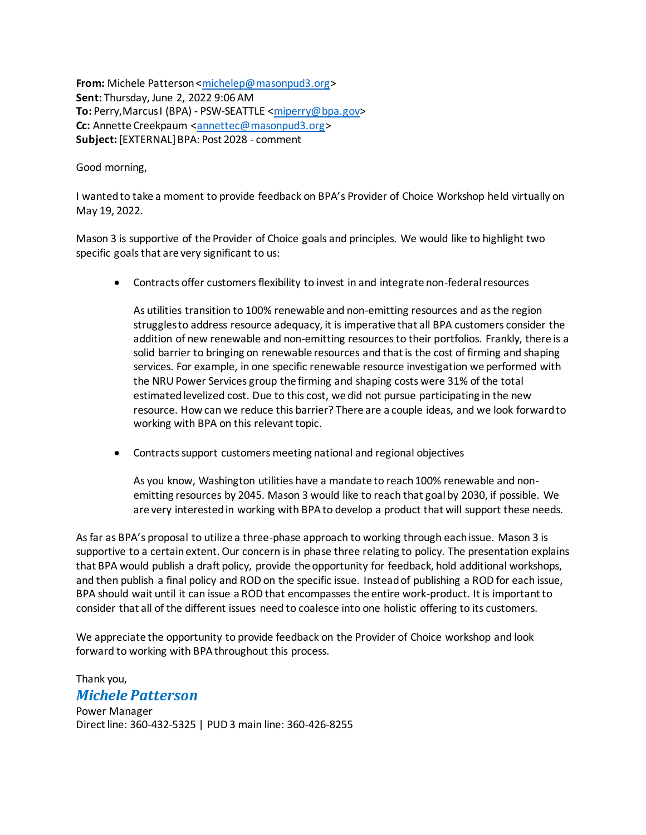**From:** Michele Patterson [<michelep@masonpud3.org>](mailto:michelep@masonpud3.org) **Sent:** Thursday, June 2, 2022 9:06 AM **To:** Perry,Marcus I (BPA) - PSW-SEATTLE [<miperry@bpa.gov>](mailto:miperry@bpa.gov) **Cc:** Annette Creekpaum [<annettec@masonpud3.org](mailto:annettec@masonpud3.org)> **Subject:** [EXTERNAL] BPA: Post 2028 - comment

Good morning,

I wanted to take a moment to provide feedback on BPA's Provider of Choice Workshop held virtually on May 19, 2022.

Mason 3 is supportive of the Provider of Choice goals and principles. We would like to highlight two specific goals that are very significant to us:

Contracts offer customers flexibility to invest in and integrate non-federal resources

As utilities transition to 100% renewable and non-emitting resources and as the region struggles to address resource adequacy, it is imperative that all BPA customers consider the addition of new renewable and non-emitting resources to their portfolios. Frankly, there is a solid barrier to bringing on renewable resources and that is the cost of firming and shaping services. For example, in one specific renewable resource investigation we performed with the NRU Power Services group the firming and shaping costs were 31% of the total estimated levelized cost. Due to this cost, we did not pursue participating in the new resource. How can we reduce this barrier? There are a couple ideas, and we look forward to working with BPA on this relevant topic.

Contracts support customers meeting national and regional objectives

As you know, Washington utilities have a mandate to reach 100% renewable and nonemitting resources by 2045. Mason 3 would like to reach that goal by 2030, if possible. We are very interested in working with BPA to develop a product that will support these needs.

As far as BPA's proposal to utilize a three-phase approach to working through each issue. Mason 3 is supportive to a certain extent. Our concern is in phase three relating to policy. The presentation explains that BPA would publish a draft policy, provide the opportunity for feedback, hold additional workshops, and then publish a final policy and ROD on the specific issue. Instead of publishing a ROD for each issue, BPA should wait until it can issue a ROD that encompasses the entire work-product. It is important to consider that all of the different issues need to coalesce into one holistic offering to its customers.

We appreciate the opportunity to provide feedback on the Provider of Choice workshop and look forward to working with BPA throughout this process.

## Thank you, *Michele Patterson*

Power Manager Direct line: 360-432-5325 | PUD 3 main line: 360-426-8255